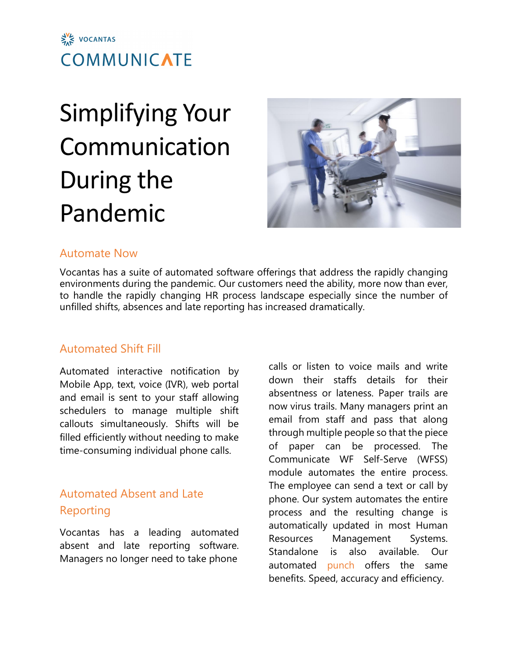

# Simplifying Your Communication During the Pandemic



#### Automate Now

Vocantas has a suite of automated software offerings that address the rapidly changing environments during the pandemic. Our customers need the ability, more now than ever, to handle the rapidly changing HR process landscape especially since the number of unfilled shifts, absences and late reporting has increased dramatically.

## Automated Shift Fill

Automated interactive notification by Mobile App, text, voice (IVR), web portal and email is sent to your staff allowing schedulers to manage multiple shift callouts simultaneously. Shifts will be filled efficiently without needing to make time-consuming individual phone calls.

# Automated Absent and Late Reporting

Vocantas has a leading automated absent and late reporting software. Managers no longer need to take phone

calls or listen to voice mails and write down their staffs details for their absentness or lateness. Paper trails are now virus trails. Many managers print an email from staff and pass that along through multiple people so that the piece of paper can be processed. The Communicate WF Self-Serve (WFSS) module automates the entire process. The employee can send a text or call by phone. Our system automates the entire process and the resulting change is automatically updated in most Human Resources Management Systems. Standalone is also available. Our automated punch offers the same benefits. Speed, accuracy and efficiency.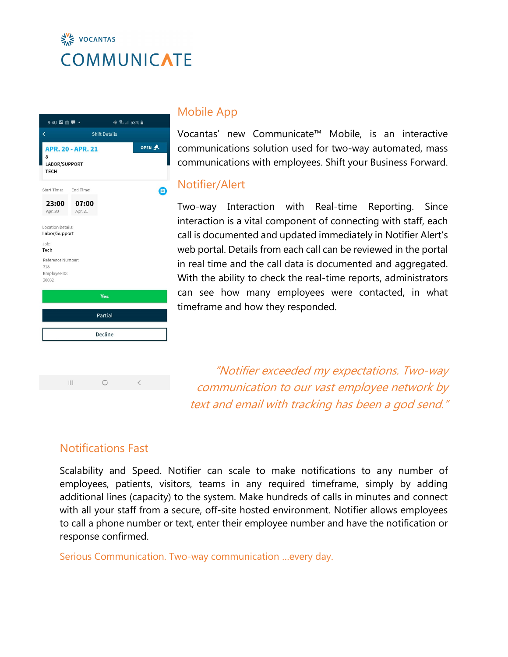# $\frac{1}{24}$  VOCANTAS **COMMUNICATE**





#### Mobile App

Vocantas' new Communicate™ Mobile, is an interactive communications solution used for two-way automated, mass communications with employees. Shift your Business Forward.

#### Notifier/Alert

Two-way Interaction with Real-time Reporting. Since interaction is a vital component of connecting with staff, each call is documented and updated immediately in Notifier Alert's web portal. Details from each call can be reviewed in the portal in real time and the call data is documented and aggregated. With the ability to check the real-time reports, administrators can see how many employees were contacted, in what timeframe and how they responded.

"Notifier exceeded my expectations. Two-way communication to our vast employee network by text and email with tracking has been a god send."

## Notifications Fast

Scalability and Speed. Notifier can scale to make notifications to any number of employees, patients, visitors, teams in any required timeframe, simply by adding additional lines (capacity) to the system. Make hundreds of calls in minutes and connect with all your staff from a secure, off-site hosted environment. Notifier allows employees to call a phone number or text, enter their employee number and have the notification or response confirmed.

Serious Communication. Two-way communication …every day.